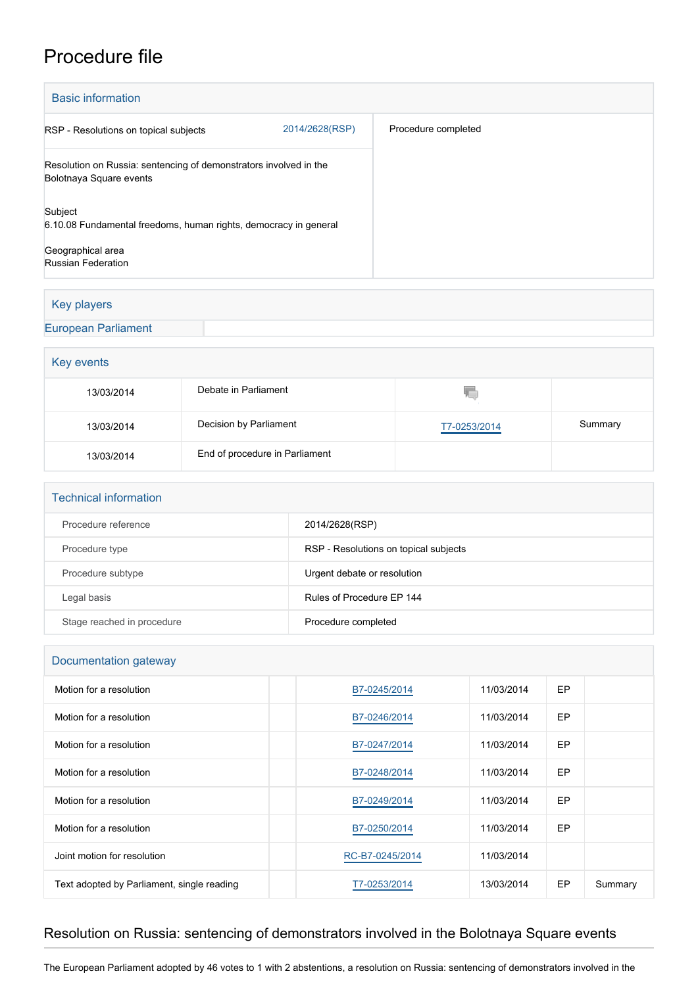## Procedure file

| <b>Basic information</b>                                                                     |                |                     |  |  |  |
|----------------------------------------------------------------------------------------------|----------------|---------------------|--|--|--|
| RSP - Resolutions on topical subjects                                                        | 2014/2628(RSP) | Procedure completed |  |  |  |
| Resolution on Russia: sentencing of demonstrators involved in the<br>Bolotnaya Square events |                |                     |  |  |  |
| Subject<br>6.10.08 Fundamental freedoms, human rights, democracy in general                  |                |                     |  |  |  |
| Geographical area<br><b>Russian Federation</b>                                               |                |                     |  |  |  |

#### Key players

[European Parliament](http://www.europarl.europa.eu/)

# Key events 13/03/2014 Debate in Parliament Q 13/03/2014 Decision by Parliament [T7-0253/2014](https://www.europarl.europa.eu/doceo/document/TA-7-2014-0253_EN.html) Summary 13/03/2014 End of procedure in Parliament

#### Technical information

| Procedure reference        | 2014/2628(RSP)                        |
|----------------------------|---------------------------------------|
| Procedure type             | RSP - Resolutions on topical subjects |
| Procedure subtype          | Urgent debate or resolution           |
| Legal basis                | Rules of Procedure FP 144             |
| Stage reached in procedure | Procedure completed                   |

#### Documentation gateway

| Motion for a resolution                    | B7-0245/2014    | 11/03/2014 | EP |         |
|--------------------------------------------|-----------------|------------|----|---------|
| Motion for a resolution                    | B7-0246/2014    | 11/03/2014 | EP |         |
| Motion for a resolution                    | B7-0247/2014    | 11/03/2014 | EP |         |
| Motion for a resolution                    | B7-0248/2014    | 11/03/2014 | EP |         |
| Motion for a resolution                    | B7-0249/2014    | 11/03/2014 | EP |         |
| Motion for a resolution                    | B7-0250/2014    | 11/03/2014 | EP |         |
| Joint motion for resolution                | RC-B7-0245/2014 | 11/03/2014 |    |         |
| Text adopted by Parliament, single reading | T7-0253/2014    | 13/03/2014 | EP | Summary |

### Resolution on Russia: sentencing of demonstrators involved in the Bolotnaya Square events

The European Parliament adopted by 46 votes to 1 with 2 abstentions, a resolution on Russia: sentencing of demonstrators involved in the